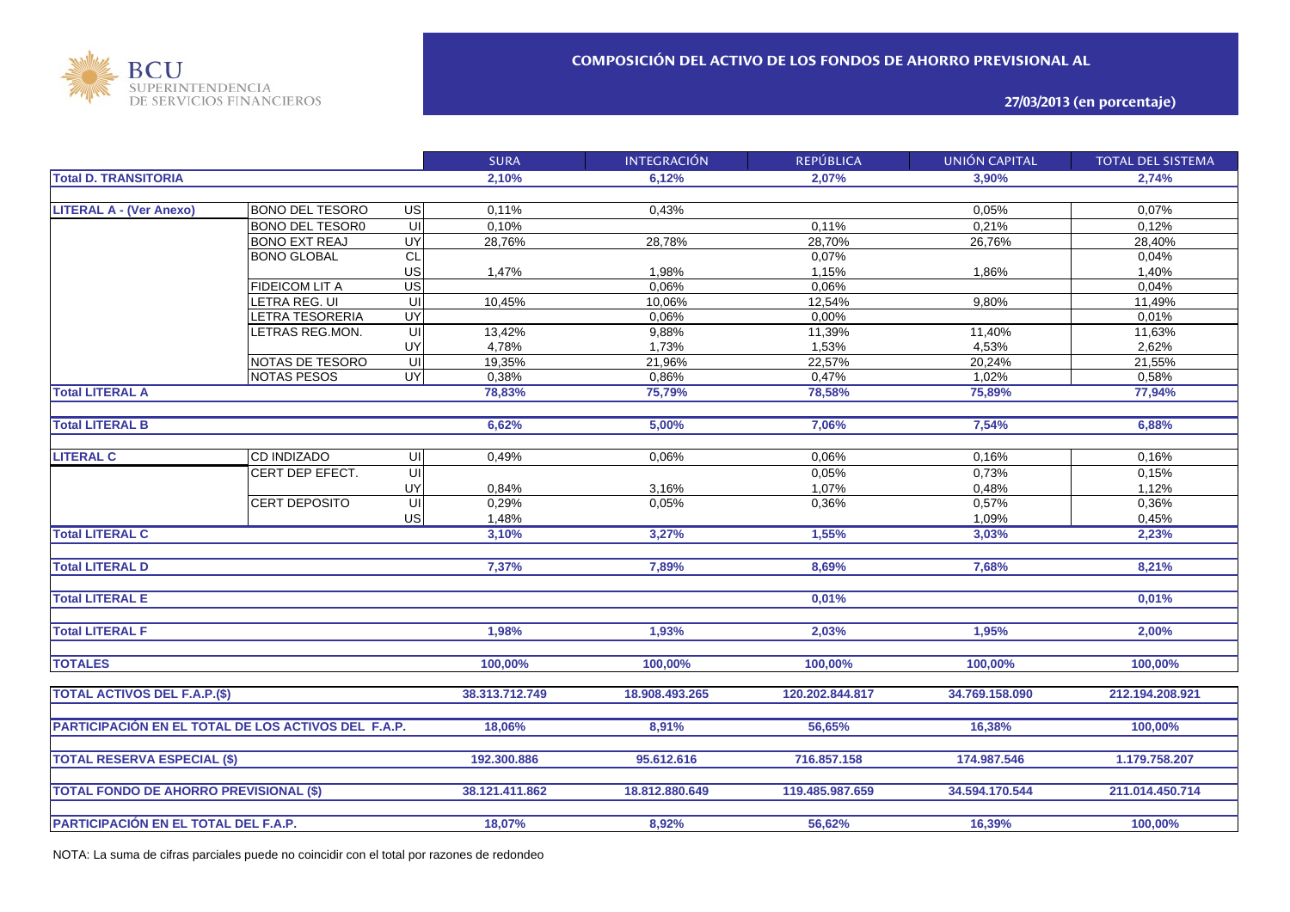

**27/03/2013 (en porcentaje)**

| <b>Total D. TRANSITORIA</b><br>2.10%<br>6.12%<br>2.07%<br>3.90%<br>2.74%<br>0.05%<br><b>LITERAL A - (Ver Anexo)</b><br><b>BONO DEL TESORO</b><br>US<br>0.11%<br>0.43%<br>0.07% |  |
|--------------------------------------------------------------------------------------------------------------------------------------------------------------------------------|--|
|                                                                                                                                                                                |  |
|                                                                                                                                                                                |  |
|                                                                                                                                                                                |  |
| $\overline{U}$<br><b>BONO DEL TESOR0</b><br>0,10%<br>0.11%<br>0,21%<br>0,12%                                                                                                   |  |
| UY<br>28,70%<br>28,76%<br>28,78%<br>26,76%<br>28,40%<br><b>BONO EXT REAJ</b>                                                                                                   |  |
| CL<br>0,07%<br><b>BONO GLOBAL</b><br>0,04%                                                                                                                                     |  |
| US<br>1,47%<br>1,98%<br>1,15%<br>1,86%<br>1,40%                                                                                                                                |  |
| $\overline{\mathsf{us}}$<br>0,06%<br>0,06%<br>0,04%<br>FIDEICOM LIT A                                                                                                          |  |
| LETRA REG. UI<br>UI<br>12,54%<br>9,80%<br>10,45%<br>10,06%<br>11,49%                                                                                                           |  |
| UY<br><b>ETRA TESORERIA</b><br>0,06%<br>0,00%<br>0,01%                                                                                                                         |  |
| UI<br>11,39%<br>11,40%<br>11,63%<br><b>ETRAS REG.MON.</b><br>13,42%<br>9,88%                                                                                                   |  |
| UY<br>4,78%<br>4,53%<br>2,62%<br>1,73%<br>1,53%                                                                                                                                |  |
| $\overline{U}$<br>20,24%<br>NOTAS DE TESORO<br>19,35%<br>21,96%<br>22,57%<br>21,55%                                                                                            |  |
| UY<br><b>NOTAS PESOS</b><br>0,38%<br>0,86%<br>0,47%<br>1,02%<br>0,58%                                                                                                          |  |
| <b>Total LITERAL A</b><br>78,83%<br>75,79%<br>78,58%<br>75,89%<br>77,94%                                                                                                       |  |
|                                                                                                                                                                                |  |
| <b>Total LITERAL B</b><br>6,62%<br>5,00%<br>7,06%<br>7,54%<br>6,88%                                                                                                            |  |
|                                                                                                                                                                                |  |
| <b>LITERAL C</b><br><b>CD INDIZADO</b><br>UI<br>0,06%<br>0,16%<br>0,16%<br>0,49%<br>0,06%                                                                                      |  |
| $\overline{U}$<br>CERT DEP EFECT.<br>0,73%<br>0,05%<br>0,15%                                                                                                                   |  |
| UY<br>1,07%<br>0,48%<br>0,84%<br>3,16%<br>1,12%                                                                                                                                |  |
| UI<br>0,29%<br>0,05%<br>0,36%<br>0,57%<br>0,36%<br><b>CERT DEPOSITO</b>                                                                                                        |  |
| US<br>1,48%<br>1,09%<br>0,45%                                                                                                                                                  |  |
| <b>Total LITERAL C</b><br>3,27%<br>1,55%<br>2,23%<br>3,10%<br>3,03%                                                                                                            |  |
|                                                                                                                                                                                |  |
| <b>Total LITERAL D</b><br>8,69%<br>7,68%<br>8,21%<br>7,37%<br>7,89%                                                                                                            |  |
|                                                                                                                                                                                |  |
| <b>Total LITERAL E</b><br>0,01%<br>0,01%                                                                                                                                       |  |
|                                                                                                                                                                                |  |
| <b>Total LITERAL F</b><br>1,95%<br>1,98%<br>1,93%<br>2,03%<br>2,00%                                                                                                            |  |
|                                                                                                                                                                                |  |
| <b>TOTALES</b><br>100,00%<br>100,00%<br>100,00%<br>100,00%<br>100,00%                                                                                                          |  |
|                                                                                                                                                                                |  |
| <b>TOTAL ACTIVOS DEL F.A.P.(\$)</b><br>38.313.712.749<br>18.908.493.265<br>120.202.844.817<br>34.769.158.090<br>212.194.208.921                                                |  |
|                                                                                                                                                                                |  |
| PARTICIPACIÓN EN EL TOTAL DE LOS ACTIVOS DEL F.A.P.<br>56,65%<br>18,06%<br>8,91%<br>16,38%<br>100,00%                                                                          |  |
|                                                                                                                                                                                |  |
| <b>TOTAL RESERVA ESPECIAL (\$)</b><br>716.857.158<br>192.300.886<br>95.612.616<br>174.987.546<br>1.179.758.207                                                                 |  |
|                                                                                                                                                                                |  |
| <b>TOTAL FONDO DE AHORRO PREVISIONAL (\$)</b><br>38.121.411.862<br>34.594.170.544<br>211.014.450.714<br>18.812.880.649<br>119.485.987.659                                      |  |
|                                                                                                                                                                                |  |
| PARTICIPACIÓN EN EL TOTAL DEL F.A.P.<br>18,07%<br>8,92%<br>56,62%<br>16,39%<br>100,00%                                                                                         |  |

NOTA: La suma de cifras parciales puede no coincidir con el total por razones de redondeo